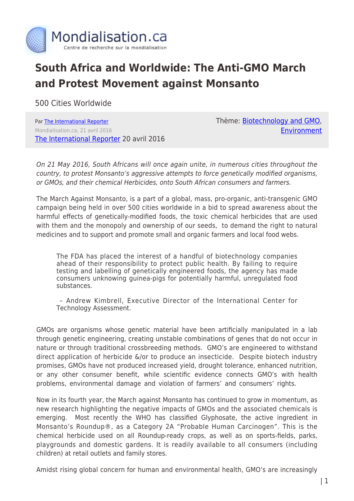

## **South Africa and Worldwide: The Anti-GMO March and Protest Movement against Monsanto**

500 Cities Worldwide

Par [The International Reporter](https://www.mondialisation.ca/author/the-international-reporter) Mondialisation.ca, 21 avril 2016 [The International Reporter](https://theinternationalreporter.org/2016/04/20/press-release-south-africans-rise-in-their-thousands-against-u-s-agro-chem-giant-monsanto/) 20 avril 2016 Thème: [Biotechnology and GMO](https://www.mondialisation.ca/theme/biotechnology-and-gmo), [Environment](https://www.mondialisation.ca/theme/environment)

On 21 May 2016, South Africans will once again unite, in numerous cities throughout the country, to protest Monsanto's aggressive attempts to force genetically modified organisms, or GMOs, and their chemical Herbicides, onto South African consumers and farmers.

The March Against Monsanto, is a part of a global, mass, pro-organic, anti-transgenic GMO campaign being held in over 500 cities worldwide in a bid to spread awareness about the harmful effects of genetically-modified foods, the toxic chemical herbicides that are used with them and the monopoly and ownership of our seeds, to demand the right to natural medicines and to support and promote small and organic farmers and local food webs.

The FDA has placed the interest of a handful of biotechnology companies ahead of their responsibility to protect public health. By failing to require testing and labelling of genetically engineered foods, the agency has made consumers unknowing guinea-pigs for potentially harmful, unregulated food substances.

 – Andrew Kimbrell, Executive Director of the International Center for Technology Assessment.

GMOs are organisms whose genetic material have been artificially manipulated in a lab through genetic engineering, creating unstable combinations of genes that do not occur in nature or through traditional crossbreeding methods. GMO's are engineered to withstand direct application of herbicide &/or to produce an insecticide. Despite biotech industry promises, GMOs have not produced increased yield, drought tolerance, enhanced nutrition, or any other consumer benefit, while scientific evidence connects GMO's with health problems, environmental damage and violation of farmers' and consumers' rights.

Now in its fourth year, the March against Monsanto has continued to grow in momentum, as new research highlighting the negative impacts of GMOs and the associated chemicals is emerging. Most recently the WHO has classified Glyphosate, the active ingredient in Monsanto's Roundup®, as a Category 2A "Probable Human Carcinogen". This is the chemical herbicide used on all Roundup-ready crops, as well as on sports-fields, parks, playgrounds and domestic gardens. It is readily available to all consumers (including children) at retail outlets and family stores.

Amidst rising global concern for human and environmental health, GMO's are increasingly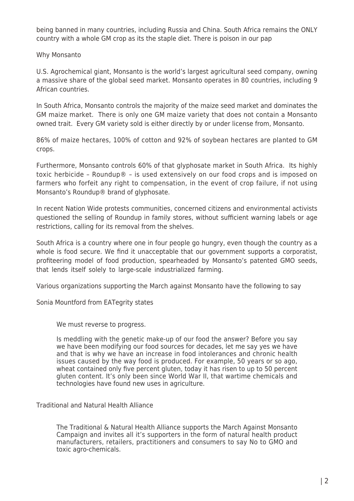being banned in many countries, including Russia and China. South Africa remains the ONLY country with a whole GM crop as its the staple diet. There is poison in our pap

## Why Monsanto

U.S. Agrochemical giant, Monsanto is the world's largest agricultural seed company, owning a massive share of the global seed market. Monsanto operates in 80 countries, including 9 African countries.

In South Africa, Monsanto controls the majority of the maize seed market and dominates the GM maize market. There is only one GM maize variety that does not contain a Monsanto owned trait. Every GM variety sold is either directly by or under license from, Monsanto.

86% of maize hectares, 100% of cotton and 92% of soybean hectares are planted to GM crops.

Furthermore, Monsanto controls 60% of that glyphosate market in South Africa. Its highly toxic herbicide – Roundup® – is used extensively on our food crops and is imposed on farmers who forfeit any right to compensation, in the event of crop failure, if not using Monsanto's Roundup® brand of glyphosate.

In recent Nation Wide protests communities, concerned citizens and environmental activists questioned the selling of Roundup in family stores, without sufficient warning labels or age restrictions, calling for its removal from the shelves.

South Africa is a country where one in four people go hungry, even though the country as a whole is food secure. We find it unacceptable that our government supports a corporatist, profiteering model of food production, spearheaded by Monsanto's patented GMO seeds, that lends itself solely to large-scale industrialized farming.

Various organizations supporting the March against Monsanto have the following to say

Sonia Mountford from EATegrity states

We must reverse to progress.

Is meddling with the genetic make-up of our food the answer? Before you say we have been modifying our food sources for decades, let me say yes we have and that is why we have an increase in food intolerances and chronic health issues caused by the way food is produced. For example, 50 years or so ago, wheat contained only five percent gluten, today it has risen to up to 50 percent gluten content. It's only been since World War II, that wartime chemicals and technologies have found new uses in agriculture.

Traditional and Natural Health Alliance

The Traditional & Natural Health Alliance supports the March Against Monsanto Campaign and invites all it's supporters in the form of natural health product manufacturers, retailers, practitioners and consumers to say No to GMO and toxic agro-chemicals.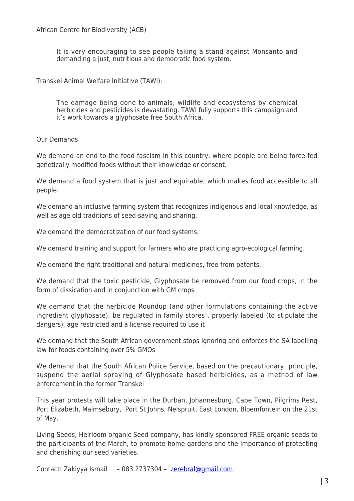It is very encouraging to see people taking a stand against Monsanto and demanding a just, nutritious and democratic food system.

Transkei Animal Welfare Initiative (TAWI):

The damage being done to animals, wildlife and ecosystems by chemical herbicides and pesticides is devastating. TAWI fully supports this campaign and it's work towards a glyphosate free South Africa.

Our Demands

We demand an end to the food fascism in this country, where people are being force-fed genetically modified foods without their knowledge or consent.

We demand a food system that is just and equitable, which makes food accessible to all people.

We demand an inclusive farming system that recognizes indigenous and local knowledge, as well as age old traditions of seed-saving and sharing.

We demand the democratization of our food systems.

We demand training and support for farmers who are practicing agro-ecological farming.

We demand the right traditional and natural medicines, free from patents.

We demand that the toxic pesticide, Glyphosate be removed from our food crops, in the form of dissication and in conjunction with GM crops

We demand that the herbicide Roundup (and other formulations containing the active ingredient glyphosate), be regulated in family stores , properly labeled (to stipulate the dangers), age restricted and a license required to use it

We demand that the South African government stops ignoring and enforces the SA labelling law for foods containing over 5% GMOs

We demand that the South African Police Service, based on the precautionary principle, suspend the aerial spraying of Glyphosate based herbicides, as a method of law enforcement in the former Transkei

This year protests will take place in the Durban, Johannesburg, Cape Town, Pilgrims Rest, Port Elizabeth, Malmsebury, Port St Johns, Nelspruit, East London, Bloemfontein on the 21st of May.

Living Seeds, Heirloom organic Seed company, has kindly sponsored FREE organic seeds to the participants of the March, to promote home gardens and the importance of protecting and cherishing our seed varieties.

Contact: Zakiyya Ismail – 083 2737304 – [zerebral@gmail.com](mailto:zerebral@gmail.com)